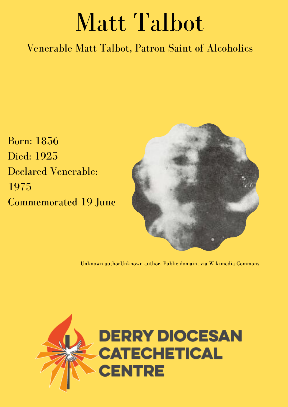## Matt Talbot

Venerable Matt Talbot, Patron Saint of Alcoholics

Born: 1856 Died: 1925 Declared Venerable: 1975 Commemorated 19 June



Unknown authorUnknown author, Public domain, via Wikimedia Commons

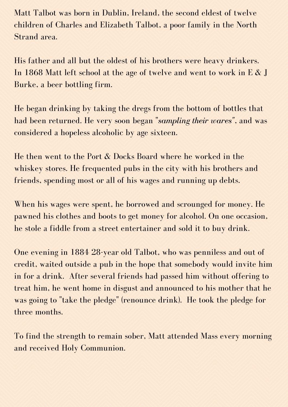Matt Talbot was born in Dublin, Ireland, the second eldest of twelve children of Charles and Elizabeth Talbot, a poor family in the North Strand area.

His father and all but the oldest of his brothers were heavy drinkers. In 1868 Matt left school at the age of twelve and went to work in E & J Burke, a beer bottling firm.

He began drinking by taking the dregs from the bottom of bottles that had been returned. He very soon began "*sampling their wares"*, and was considered a hopeless alcoholic by age sixteen.

He then went to the Port & Docks Board where he worked in the whiskey stores. He frequented pubs in the city with his brothers and friends, spending most or all of his wages and running up debts.

When his wages were spent, he borrowed and scrounged for money. He pawned his clothes and boots to get money for alcohol. On one occasion, he stole a fiddle from a street entertainer and sold it to buy drink.

One evening in 1884 28-year old Talbot, who was penniless and out of credit, waited outside a pub in the hope that somebody would invite him in for a drink. After several friends had passed him without offering to treat him, he went home in disgust and announced to his mother that he was going to "take the [pledge](https://en.wikipedia.org/wiki/Theobald_Mathew_(temperance_reformer)#Total_Abstinence_Society)" (renounce drink). He took the pledge for three months.

To find the strength to remain sober, Matt attended Mass every morning and received Holy Communion.